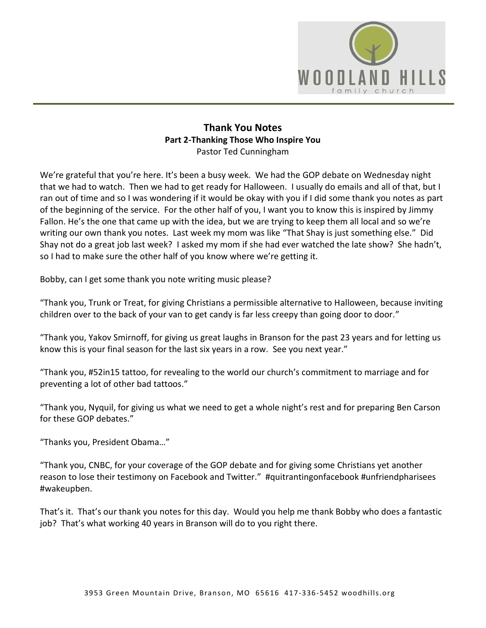

### **Thank You Notes Part 2-Thanking Those Who Inspire You**  Pastor Ted Cunningham

We're grateful that you're here. It's been a busy week. We had the GOP debate on Wednesday night that we had to watch. Then we had to get ready for Halloween. I usually do emails and all of that, but I ran out of time and so I was wondering if it would be okay with you if I did some thank you notes as part of the beginning of the service. For the other half of you, I want you to know this is inspired by Jimmy Fallon. He's the one that came up with the idea, but we are trying to keep them all local and so we're writing our own thank you notes. Last week my mom was like "That Shay is just something else." Did Shay not do a great job last week? I asked my mom if she had ever watched the late show? She hadn't, so I had to make sure the other half of you know where we're getting it.

Bobby, can I get some thank you note writing music please?

"Thank you, Trunk or Treat, for giving Christians a permissible alternative to Halloween, because inviting children over to the back of your van to get candy is far less creepy than going door to door."

"Thank you, Yakov Smirnoff, for giving us great laughs in Branson for the past 23 years and for letting us know this is your final season for the last six years in a row. See you next year."

"Thank you, #52in15 tattoo, for revealing to the world our church's commitment to marriage and for preventing a lot of other bad tattoos."

"Thank you, Nyquil, for giving us what we need to get a whole night's rest and for preparing Ben Carson for these GOP debates."

"Thanks you, President Obama…"

"Thank you, CNBC, for your coverage of the GOP debate and for giving some Christians yet another reason to lose their testimony on Facebook and Twitter." #quitrantingonfacebook #unfriendpharisees #wakeupben.

That's it. That's our thank you notes for this day. Would you help me thank Bobby who does a fantastic job? That's what working 40 years in Branson will do to you right there.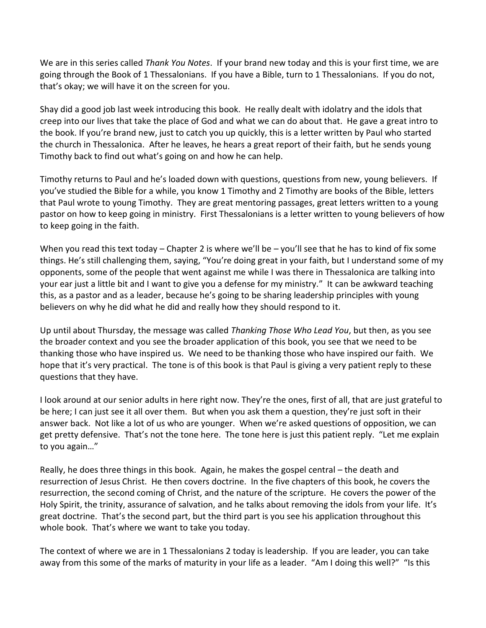We are in this series called *Thank You Notes*. If your brand new today and this is your first time, we are going through the Book of 1 Thessalonians. If you have a Bible, turn to 1 Thessalonians. If you do not, that's okay; we will have it on the screen for you.

Shay did a good job last week introducing this book. He really dealt with idolatry and the idols that creep into our lives that take the place of God and what we can do about that. He gave a great intro to the book. If you're brand new, just to catch you up quickly, this is a letter written by Paul who started the church in Thessalonica. After he leaves, he hears a great report of their faith, but he sends young Timothy back to find out what's going on and how he can help.

Timothy returns to Paul and he's loaded down with questions, questions from new, young believers. If you've studied the Bible for a while, you know 1 Timothy and 2 Timothy are books of the Bible, letters that Paul wrote to young Timothy. They are great mentoring passages, great letters written to a young pastor on how to keep going in ministry. First Thessalonians is a letter written to young believers of how to keep going in the faith.

When you read this text today – Chapter 2 is where we'll be – you'll see that he has to kind of fix some things. He's still challenging them, saying, "You're doing great in your faith, but I understand some of my opponents, some of the people that went against me while I was there in Thessalonica are talking into your ear just a little bit and I want to give you a defense for my ministry." It can be awkward teaching this, as a pastor and as a leader, because he's going to be sharing leadership principles with young believers on why he did what he did and really how they should respond to it.

Up until about Thursday, the message was called *Thanking Those Who Lead You*, but then, as you see the broader context and you see the broader application of this book, you see that we need to be thanking those who have inspired us. We need to be thanking those who have inspired our faith. We hope that it's very practical. The tone is of this book is that Paul is giving a very patient reply to these questions that they have.

I look around at our senior adults in here right now. They're the ones, first of all, that are just grateful to be here; I can just see it all over them. But when you ask them a question, they're just soft in their answer back. Not like a lot of us who are younger. When we're asked questions of opposition, we can get pretty defensive. That's not the tone here. The tone here is just this patient reply. "Let me explain to you again…"

Really, he does three things in this book. Again, he makes the gospel central – the death and resurrection of Jesus Christ. He then covers doctrine. In the five chapters of this book, he covers the resurrection, the second coming of Christ, and the nature of the scripture. He covers the power of the Holy Spirit, the trinity, assurance of salvation, and he talks about removing the idols from your life. It's great doctrine. That's the second part, but the third part is you see his application throughout this whole book. That's where we want to take you today.

The context of where we are in 1 Thessalonians 2 today is leadership. If you are leader, you can take away from this some of the marks of maturity in your life as a leader. "Am I doing this well?" "Is this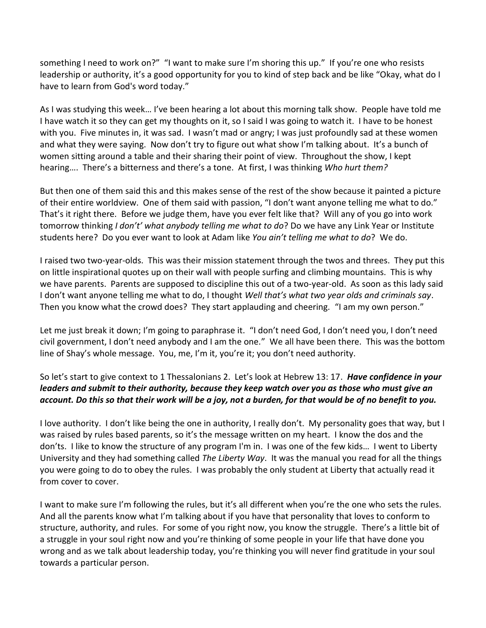something I need to work on?" "I want to make sure I'm shoring this up." If you're one who resists leadership or authority, it's a good opportunity for you to kind of step back and be like "Okay, what do I have to learn from God's word today."

As I was studying this week… I've been hearing a lot about this morning talk show. People have told me I have watch it so they can get my thoughts on it, so I said I was going to watch it. I have to be honest with you. Five minutes in, it was sad. I wasn't mad or angry; I was just profoundly sad at these women and what they were saying. Now don't try to figure out what show I'm talking about. It's a bunch of women sitting around a table and their sharing their point of view. Throughout the show, I kept hearing…. There's a bitterness and there's a tone. At first, I was thinking *Who hurt them?*

But then one of them said this and this makes sense of the rest of the show because it painted a picture of their entire worldview. One of them said with passion, "I don't want anyone telling me what to do." That's it right there. Before we judge them, have you ever felt like that? Will any of you go into work tomorrow thinking *I don't' what anybody telling me what to do*? Do we have any Link Year or Institute students here? Do you ever want to look at Adam like *You ain't telling me what to do*? We do.

I raised two two-year-olds. This was their mission statement through the twos and threes. They put this on little inspirational quotes up on their wall with people surfing and climbing mountains. This is why we have parents. Parents are supposed to discipline this out of a two-year-old. As soon as this lady said I don't want anyone telling me what to do, I thought *Well that's what two year olds and criminals say*. Then you know what the crowd does? They start applauding and cheering. "I am my own person."

Let me just break it down; I'm going to paraphrase it. "I don't need God, I don't need you, I don't need civil government, I don't need anybody and I am the one." We all have been there. This was the bottom line of Shay's whole message. You, me, I'm it, you're it; you don't need authority.

## So let's start to give context to 1 Thessalonians 2. Let's look at Hebrew 13: 17. *Have confidence in your leaders and submit to their authority, because they keep watch over you as those who must give an account. Do this so that their work will be a joy, not a burden, for that would be of no benefit to you.*

I love authority. I don't like being the one in authority, I really don't. My personality goes that way, but I was raised by rules based parents, so it's the message written on my heart. I know the dos and the don'ts. I like to know the structure of any program I'm in. I was one of the few kids… I went to Liberty University and they had something called *The Liberty Way*. It was the manual you read for all the things you were going to do to obey the rules. I was probably the only student at Liberty that actually read it from cover to cover.

I want to make sure I'm following the rules, but it's all different when you're the one who sets the rules. And all the parents know what I'm talking about if you have that personality that loves to conform to structure, authority, and rules. For some of you right now, you know the struggle. There's a little bit of a struggle in your soul right now and you're thinking of some people in your life that have done you wrong and as we talk about leadership today, you're thinking you will never find gratitude in your soul towards a particular person.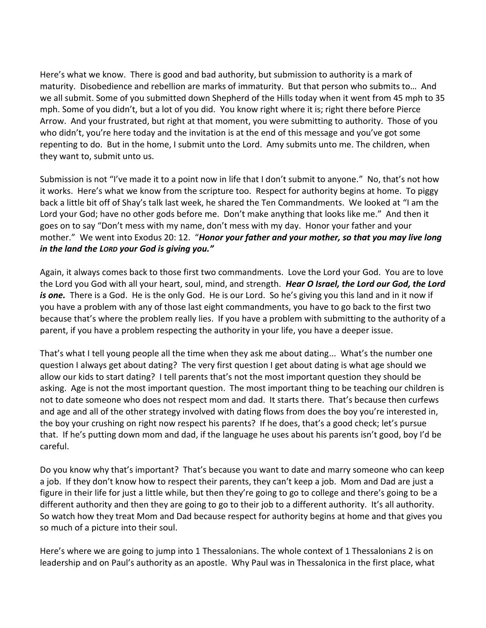Here's what we know. There is good and bad authority, but submission to authority is a mark of maturity. Disobedience and rebellion are marks of immaturity. But that person who submits to… And we all submit. Some of you submitted down Shepherd of the Hills today when it went from 45 mph to 35 mph. Some of you didn't, but a lot of you did. You know right where it is; right there before Pierce Arrow. And your frustrated, but right at that moment, you were submitting to authority. Those of you who didn't, you're here today and the invitation is at the end of this message and you've got some repenting to do. But in the home, I submit unto the Lord. Amy submits unto me. The children, when they want to, submit unto us.

Submission is not "I've made it to a point now in life that I don't submit to anyone." No, that's not how it works. Here's what we know from the scripture too. Respect for authority begins at home. To piggy back a little bit off of Shay's talk last week, he shared the Ten Commandments. We looked at "I am the Lord your God; have no other gods before me. Don't make anything that looks like me." And then it goes on to say "Don't mess with my name, don't mess with my day. Honor your father and your mother." We went into Exodus 20: 12. "*Honor your father and your mother, so that you may live long in the land the LORD your God is giving you."*

Again, it always comes back to those first two commandments. Love the Lord your God. You are to love the Lord you God with all your heart, soul, mind, and strength. *Hear O Israel, the Lord our God, the Lord is one.* There is a God. He is the only God. He is our Lord. So he's giving you this land and in it now if you have a problem with any of those last eight commandments, you have to go back to the first two because that's where the problem really lies. If you have a problem with submitting to the authority of a parent, if you have a problem respecting the authority in your life, you have a deeper issue.

That's what I tell young people all the time when they ask me about dating... What's the number one question I always get about dating? The very first question I get about dating is what age should we allow our kids to start dating? I tell parents that's not the most important question they should be asking. Age is not the most important question. The most important thing to be teaching our children is not to date someone who does not respect mom and dad. It starts there. That's because then curfews and age and all of the other strategy involved with dating flows from does the boy you're interested in, the boy your crushing on right now respect his parents? If he does, that's a good check; let's pursue that. If he's putting down mom and dad, if the language he uses about his parents isn't good, boy I'd be careful.

Do you know why that's important? That's because you want to date and marry someone who can keep a job. If they don't know how to respect their parents, they can't keep a job. Mom and Dad are just a figure in their life for just a little while, but then they're going to go to college and there's going to be a different authority and then they are going to go to their job to a different authority. It's all authority. So watch how they treat Mom and Dad because respect for authority begins at home and that gives you so much of a picture into their soul.

Here's where we are going to jump into 1 Thessalonians. The whole context of 1 Thessalonians 2 is on leadership and on Paul's authority as an apostle. Why Paul was in Thessalonica in the first place, what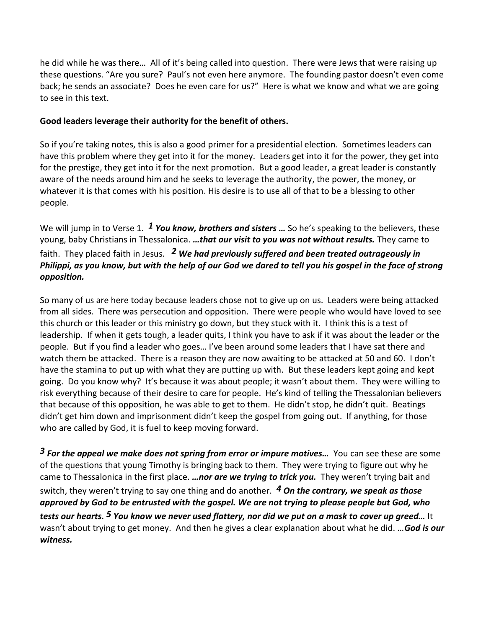he did while he was there… All of it's being called into question. There were Jews that were raising up these questions. "Are you sure? Paul's not even here anymore. The founding pastor doesn't even come back; he sends an associate? Does he even care for us?" Here is what we know and what we are going to see in this text.

### **Good leaders leverage their authority for the benefit of others.**

So if you're taking notes, this is also a good primer for a presidential election. Sometimes leaders can have this problem where they get into it for the money. Leaders get into it for the power, they get into for the prestige, they get into it for the next promotion. But a good leader, a great leader is constantly aware of the needs around him and he seeks to leverage the authority, the power, the money, or whatever it is that comes with his position. His desire is to use all of that to be a blessing to other people.

We will jump in to Verse 1. *[1](http://www.studylight.org/desk/?q=1th%202:1&t1=en_niv&sr=1) You know, brothers and sisters …* So he's speaking to the believers, these young, baby Christians in Thessalonica. *…that our visit to you was not without results.* They came to faith. They placed faith in Jesus. *[2](http://www.studylight.org/desk/?q=1th%202:2&t1=en_niv&sr=1) We had previously suffered and been treated outrageously in Philippi, as you know, but with the help of our God we dared to tell you his gospel in the face of strong opposition.*

So many of us are here today because leaders chose not to give up on us. Leaders were being attacked from all sides. There was persecution and opposition. There were people who would have loved to see this church or this leader or this ministry go down, but they stuck with it. I think this is a test of leadership. If when it gets tough, a leader quits, I think you have to ask if it was about the leader or the people. But if you find a leader who goes… I've been around some leaders that I have sat there and watch them be attacked. There is a reason they are now awaiting to be attacked at 50 and 60. I don't have the stamina to put up with what they are putting up with. But these leaders kept going and kept going. Do you know why? It's because it was about people; it wasn't about them. They were willing to risk everything because of their desire to care for people. He's kind of telling the Thessalonian believers that because of this opposition, he was able to get to them. He didn't stop, he didn't quit. Beatings didn't get him down and imprisonment didn't keep the gospel from going out. If anything, for those who are called by God, it is fuel to keep moving forward.

*[3](http://www.studylight.org/desk/?q=1th%202:3&t1=en_niv&sr=1) For the appeal we make does not spring from error or impure motives…* You can see these are some of the questions that young Timothy is bringing back to them. They were trying to figure out why he came to Thessalonica in the first place. *…nor are we trying to trick you.*They weren't trying bait and switch, they weren't trying to say one thing and do another. *[4](http://www.studylight.org/desk/?q=1th%202:4&t1=en_niv&sr=1) On the contrary, we speak as those approved by God to be entrusted with the gospel. We are not trying to please people but God, who tests our hearts. [5](http://www.studylight.org/desk/?q=1th%202:5&t1=en_niv&sr=1) You know we never used flattery, nor did we put on a mask to cover up greed…* It wasn't about trying to get money. And then he gives a clear explanation about what he did. …*God is our witness.*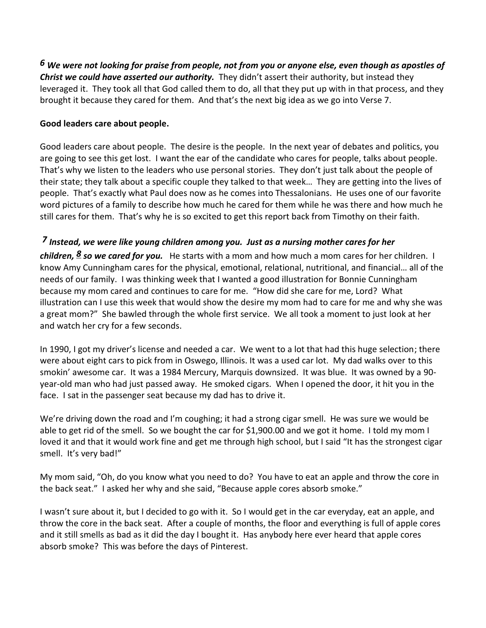*[6](http://www.studylight.org/desk/?q=1th%202:6&t1=en_niv&sr=1) We were not looking for praise from people, not from you or anyone else, even though as apostles of Christ we could have asserted our authority.* They didn't assert their authority, but instead they leveraged it. They took all that God called them to do, all that they put up with in that process, and they brought it because they cared for them. And that's the next big idea as we go into Verse 7.

### **Good leaders care about people.**

Good leaders care about people. The desire is the people. In the next year of debates and politics, you are going to see this get lost. I want the ear of the candidate who cares for people, talks about people. That's why we listen to the leaders who use personal stories. They don't just talk about the people of their state; they talk about a specific couple they talked to that week… They are getting into the lives of people. That's exactly what Paul does now as he comes into Thessalonians. He uses one of our favorite word pictures of a family to describe how much he cared for them while he was there and how much he still cares for them. That's why he is so excited to get this report back from Timothy on their faith.

## *[7](http://www.studylight.org/desk/?q=1th%202:7&t1=en_niv&sr=1) Instead, we were like young children among you.**Just as a nursing mother cares for her*

*children, [8](http://www.studylight.org/desk/?q=1th%202:8&t1=en_niv&sr=1) so we cared for you.* He starts with a mom and how much a mom cares for her children. I know Amy Cunningham cares for the physical, emotional, relational, nutritional, and financial… all of the needs of our family. I was thinking week that I wanted a good illustration for Bonnie Cunningham because my mom cared and continues to care for me. "How did she care for me, Lord? What illustration can I use this week that would show the desire my mom had to care for me and why she was a great mom?" She bawled through the whole first service. We all took a moment to just look at her and watch her cry for a few seconds.

In 1990, I got my driver's license and needed a car. We went to a lot that had this huge selection; there were about eight cars to pick from in Oswego, Illinois. It was a used car lot. My dad walks over to this smokin' awesome car. It was a 1984 Mercury, Marquis downsized. It was blue. It was owned by a 90 year-old man who had just passed away. He smoked cigars. When I opened the door, it hit you in the face. I sat in the passenger seat because my dad has to drive it.

We're driving down the road and I'm coughing; it had a strong cigar smell. He was sure we would be able to get rid of the smell. So we bought the car for \$1,900.00 and we got it home. I told my mom I loved it and that it would work fine and get me through high school, but I said "It has the strongest cigar smell. It's very bad!"

My mom said, "Oh, do you know what you need to do? You have to eat an apple and throw the core in the back seat." I asked her why and she said, "Because apple cores absorb smoke."

I wasn't sure about it, but I decided to go with it. So I would get in the car everyday, eat an apple, and throw the core in the back seat. After a couple of months, the floor and everything is full of apple cores and it still smells as bad as it did the day I bought it. Has anybody here ever heard that apple cores absorb smoke? This was before the days of Pinterest.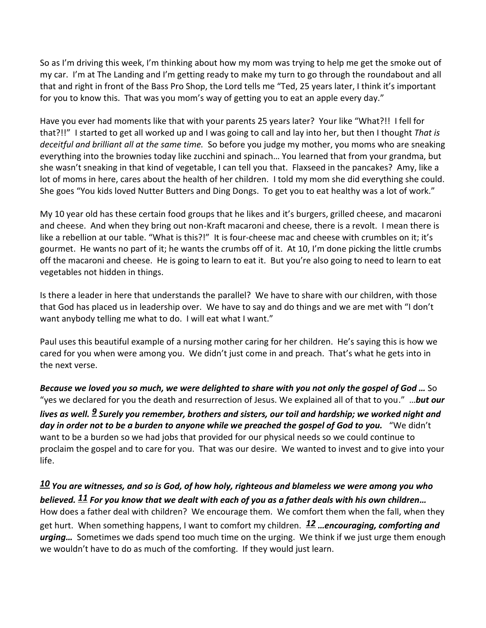So as I'm driving this week, I'm thinking about how my mom was trying to help me get the smoke out of my car. I'm at The Landing and I'm getting ready to make my turn to go through the roundabout and all that and right in front of the Bass Pro Shop, the Lord tells me "Ted, 25 years later, I think it's important for you to know this. That was you mom's way of getting you to eat an apple every day."

Have you ever had moments like that with your parents 25 years later? Your like "What?!! I fell for that?!!" I started to get all worked up and I was going to call and lay into her, but then I thought *That is deceitful and brilliant all at the same time.* So before you judge my mother, you moms who are sneaking everything into the brownies today like zucchini and spinach… You learned that from your grandma, but she wasn't sneaking in that kind of vegetable, I can tell you that. Flaxseed in the pancakes? Amy, like a lot of moms in here, cares about the health of her children. I told my mom she did everything she could. She goes "You kids loved Nutter Butters and Ding Dongs. To get you to eat healthy was a lot of work."

My 10 year old has these certain food groups that he likes and it's burgers, grilled cheese, and macaroni and cheese. And when they bring out non-Kraft macaroni and cheese, there is a revolt. I mean there is like a rebellion at our table. "What is this?!" It is four-cheese mac and cheese with crumbles on it; it's gourmet. He wants no part of it; he wants the crumbs off of it. At 10, I'm done picking the little crumbs off the macaroni and cheese. He is going to learn to eat it. But you're also going to need to learn to eat vegetables not hidden in things.

Is there a leader in here that understands the parallel? We have to share with our children, with those that God has placed us in leadership over. We have to say and do things and we are met with "I don't want anybody telling me what to do. I will eat what I want."

Paul uses this beautiful example of a nursing mother caring for her children. He's saying this is how we cared for you when were among you. We didn't just come in and preach. That's what he gets into in the next verse.

*Because we loved you so much, we were delighted to share with you not only the gospel of God …* So "yes we declared for you the death and resurrection of Jesus. We explained all of that to you." …*but our lives as well. [9](http://www.studylight.org/desk/?q=1th%202:9&t1=en_niv&sr=1) Surely you remember, brothers and sisters, our toil and hardship; we worked night and*  day in order not to be a burden to anyone while we preached the gospel of God to you. "We didn't want to be a burden so we had jobs that provided for our physical needs so we could continue to proclaim the gospel and to care for you. That was our desire. We wanted to invest and to give into your life.

*[10](http://www.studylight.org/desk/?q=1th%202:10&t1=en_niv&sr=1) You are witnesses, and so is God, of how holy, righteous and blameless we were among you who believed. [11](http://www.studylight.org/desk/?q=1th%202:11&t1=en_niv&sr=1) For you know that we dealt with each of you as a father deals with his own children…* How does a father deal with children? We encourage them. We comfort them when the fall, when they get hurt. When something happens, I want to comfort my children. *[12](http://www.studylight.org/desk/?q=1th%202:12&t1=en_niv&sr=1) …encouraging, comforting and urging…* Sometimes we dads spend too much time on the urging. We think if we just urge them enough we wouldn't have to do as much of the comforting. If they would just learn.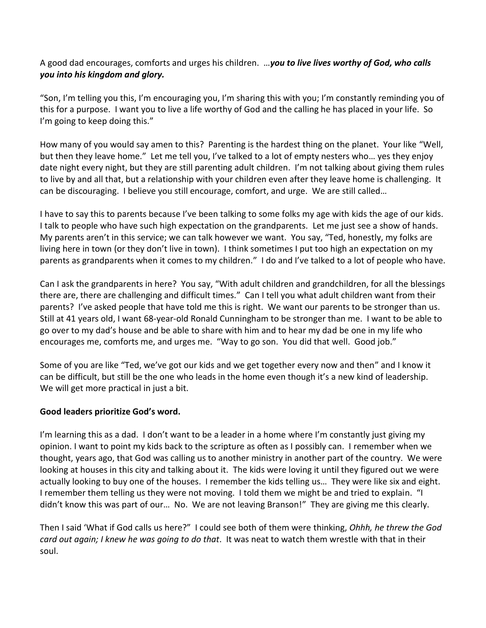### A good dad encourages, comforts and urges his children. …*you to live lives worthy of God, who calls you into his kingdom and glory.*

"Son, I'm telling you this, I'm encouraging you, I'm sharing this with you; I'm constantly reminding you of this for a purpose. I want you to live a life worthy of God and the calling he has placed in your life. So I'm going to keep doing this."

How many of you would say amen to this? Parenting is the hardest thing on the planet. Your like "Well, but then they leave home." Let me tell you, I've talked to a lot of empty nesters who… yes they enjoy date night every night, but they are still parenting adult children. I'm not talking about giving them rules to live by and all that, but a relationship with your children even after they leave home is challenging. It can be discouraging. I believe you still encourage, comfort, and urge. We are still called…

I have to say this to parents because I've been talking to some folks my age with kids the age of our kids. I talk to people who have such high expectation on the grandparents. Let me just see a show of hands. My parents aren't in this service; we can talk however we want. You say, "Ted, honestly, my folks are living here in town (or they don't live in town). I think sometimes I put too high an expectation on my parents as grandparents when it comes to my children." I do and I've talked to a lot of people who have.

Can I ask the grandparents in here? You say, "With adult children and grandchildren, for all the blessings there are, there are challenging and difficult times." Can I tell you what adult children want from their parents? I've asked people that have told me this is right. We want our parents to be stronger than us. Still at 41 years old, I want 68-year-old Ronald Cunningham to be stronger than me. I want to be able to go over to my dad's house and be able to share with him and to hear my dad be one in my life who encourages me, comforts me, and urges me. "Way to go son. You did that well. Good job."

Some of you are like "Ted, we've got our kids and we get together every now and then" and I know it can be difficult, but still be the one who leads in the home even though it's a new kind of leadership. We will get more practical in just a bit.

### **Good leaders prioritize God's word.**

I'm learning this as a dad. I don't want to be a leader in a home where I'm constantly just giving my opinion. I want to point my kids back to the scripture as often as I possibly can. I remember when we thought, years ago, that God was calling us to another ministry in another part of the country. We were looking at houses in this city and talking about it. The kids were loving it until they figured out we were actually looking to buy one of the houses. I remember the kids telling us… They were like six and eight. I remember them telling us they were not moving. I told them we might be and tried to explain. "I didn't know this was part of our… No. We are not leaving Branson!" They are giving me this clearly.

Then I said 'What if God calls us here?" I could see both of them were thinking, *Ohhh, he threw the God card out again; I knew he was going to do that*. It was neat to watch them wrestle with that in their soul.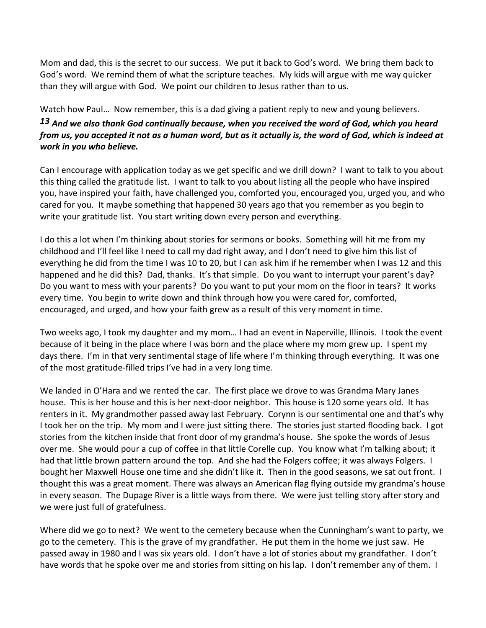Mom and dad, this is the secret to our success. We put it back to God's word. We bring them back to God's word. We remind them of what the scripture teaches. My kids will argue with me way quicker than they will argue with God. We point our children to Jesus rather than to us.

Watch how Paul… Now remember, this is a dad giving a patient reply to new and young believers.

# *[13](http://www.studylight.org/desk/?q=1th%202:13&t1=en_niv&sr=1) And we also thank God continually because, when you received the word of God, which you heard from us, you accepted it not as a human word, but as it actually is, the word of God, which is indeed at work in you who believe.*

Can I encourage with application today as we get specific and we drill down? I want to talk to you about this thing called the gratitude list. I want to talk to you about listing all the people who have inspired you, have inspired your faith, have challenged you, comforted you, encouraged you, urged you, and who cared for you. It maybe something that happened 30 years ago that you remember as you begin to write your gratitude list. You start writing down every person and everything.

I do this a lot when I'm thinking about stories for sermons or books. Something will hit me from my childhood and I'll feel like I need to call my dad right away, and I don't need to give him this list of everything he did from the time I was 10 to 20, but I can ask him if he remember when I was 12 and this happened and he did this? Dad, thanks. It's that simple. Do you want to interrupt your parent's day? Do you want to mess with your parents? Do you want to put your mom on the floor in tears? It works every time. You begin to write down and think through how you were cared for, comforted, encouraged, and urged, and how your faith grew as a result of this very moment in time.

Two weeks ago, I took my daughter and my mom… I had an event in Naperville, Illinois. I took the event because of it being in the place where I was born and the place where my mom grew up. I spent my days there. I'm in that very sentimental stage of life where I'm thinking through everything. It was one of the most gratitude-filled trips I've had in a very long time.

We landed in O'Hara and we rented the car. The first place we drove to was Grandma Mary Janes house. This is her house and this is her next-door neighbor. This house is 120 some years old. It has renters in it. My grandmother passed away last February. Corynn is our sentimental one and that's why I took her on the trip. My mom and I were just sitting there. The stories just started flooding back. I got stories from the kitchen inside that front door of my grandma's house. She spoke the words of Jesus over me. She would pour a cup of coffee in that little Corelle cup. You know what I'm talking about; it had that little brown pattern around the top. And she had the Folgers coffee; it was always Folgers. I bought her Maxwell House one time and she didn't like it. Then in the good seasons, we sat out front. I thought this was a great moment. There was always an American flag flying outside my grandma's house in every season. The Dupage River is a little ways from there. We were just telling story after story and we were just full of gratefulness.

Where did we go to next? We went to the cemetery because when the Cunningham's want to party, we go to the cemetery. This is the grave of my grandfather. He put them in the home we just saw. He passed away in 1980 and I was six years old. I don't have a lot of stories about my grandfather. I don't have words that he spoke over me and stories from sitting on his lap. I don't remember any of them. I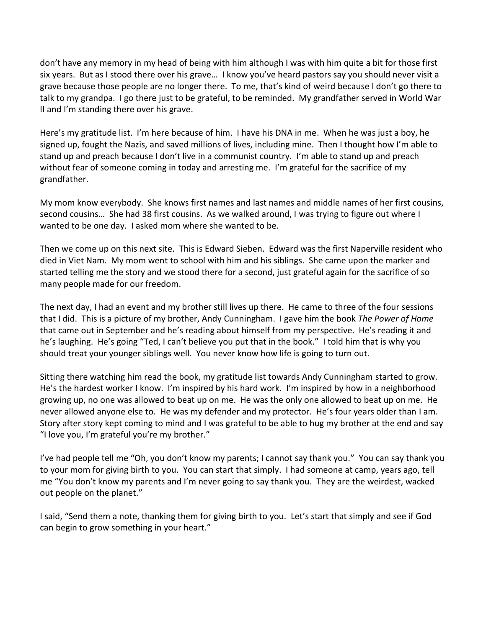don't have any memory in my head of being with him although I was with him quite a bit for those first six years. But as I stood there over his grave… I know you've heard pastors say you should never visit a grave because those people are no longer there. To me, that's kind of weird because I don't go there to talk to my grandpa. I go there just to be grateful, to be reminded. My grandfather served in World War II and I'm standing there over his grave.

Here's my gratitude list. I'm here because of him. I have his DNA in me. When he was just a boy, he signed up, fought the Nazis, and saved millions of lives, including mine. Then I thought how I'm able to stand up and preach because I don't live in a communist country. I'm able to stand up and preach without fear of someone coming in today and arresting me. I'm grateful for the sacrifice of my grandfather.

My mom know everybody. She knows first names and last names and middle names of her first cousins, second cousins… She had 38 first cousins. As we walked around, I was trying to figure out where I wanted to be one day. I asked mom where she wanted to be.

Then we come up on this next site. This is Edward Sieben. Edward was the first Naperville resident who died in Viet Nam. My mom went to school with him and his siblings. She came upon the marker and started telling me the story and we stood there for a second, just grateful again for the sacrifice of so many people made for our freedom.

The next day, I had an event and my brother still lives up there. He came to three of the four sessions that I did. This is a picture of my brother, Andy Cunningham. I gave him the book *The Power of Home* that came out in September and he's reading about himself from my perspective. He's reading it and he's laughing. He's going "Ted, I can't believe you put that in the book." I told him that is why you should treat your younger siblings well. You never know how life is going to turn out.

Sitting there watching him read the book, my gratitude list towards Andy Cunningham started to grow. He's the hardest worker I know. I'm inspired by his hard work. I'm inspired by how in a neighborhood growing up, no one was allowed to beat up on me. He was the only one allowed to beat up on me. He never allowed anyone else to. He was my defender and my protector. He's four years older than I am. Story after story kept coming to mind and I was grateful to be able to hug my brother at the end and say "I love you, I'm grateful you're my brother."

I've had people tell me "Oh, you don't know my parents; I cannot say thank you." You can say thank you to your mom for giving birth to you. You can start that simply. I had someone at camp, years ago, tell me "You don't know my parents and I'm never going to say thank you. They are the weirdest, wacked out people on the planet."

I said, "Send them a note, thanking them for giving birth to you. Let's start that simply and see if God can begin to grow something in your heart."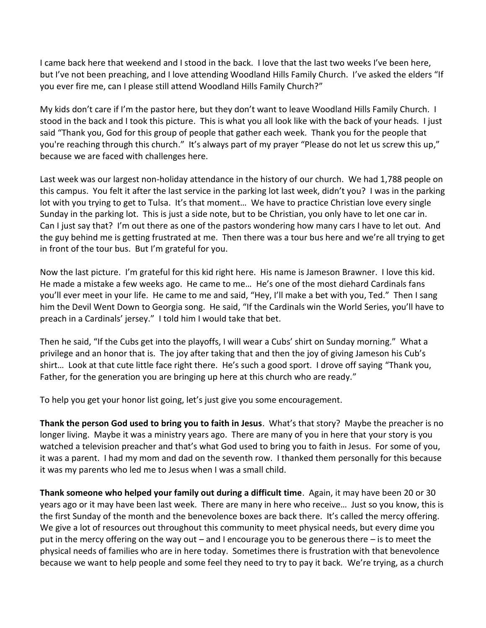I came back here that weekend and I stood in the back. I love that the last two weeks I've been here, but I've not been preaching, and I love attending Woodland Hills Family Church. I've asked the elders "If you ever fire me, can I please still attend Woodland Hills Family Church?"

My kids don't care if I'm the pastor here, but they don't want to leave Woodland Hills Family Church. I stood in the back and I took this picture. This is what you all look like with the back of your heads. I just said "Thank you, God for this group of people that gather each week. Thank you for the people that you're reaching through this church." It's always part of my prayer "Please do not let us screw this up," because we are faced with challenges here.

Last week was our largest non-holiday attendance in the history of our church. We had 1,788 people on this campus. You felt it after the last service in the parking lot last week, didn't you? I was in the parking lot with you trying to get to Tulsa. It's that moment... We have to practice Christian love every single Sunday in the parking lot. This is just a side note, but to be Christian, you only have to let one car in. Can I just say that? I'm out there as one of the pastors wondering how many cars I have to let out. And the guy behind me is getting frustrated at me. Then there was a tour bus here and we're all trying to get in front of the tour bus. But I'm grateful for you.

Now the last picture. I'm grateful for this kid right here. His name is Jameson Brawner. I love this kid. He made a mistake a few weeks ago. He came to me… He's one of the most diehard Cardinals fans you'll ever meet in your life. He came to me and said, "Hey, I'll make a bet with you, Ted." Then I sang him the Devil Went Down to Georgia song. He said, "If the Cardinals win the World Series, you'll have to preach in a Cardinals' jersey." I told him I would take that bet.

Then he said, "If the Cubs get into the playoffs, I will wear a Cubs' shirt on Sunday morning." What a privilege and an honor that is. The joy after taking that and then the joy of giving Jameson his Cub's shirt… Look at that cute little face right there. He's such a good sport. I drove off saying "Thank you, Father, for the generation you are bringing up here at this church who are ready."

To help you get your honor list going, let's just give you some encouragement.

**Thank the person God used to bring you to faith in Jesus**. What's that story? Maybe the preacher is no longer living. Maybe it was a ministry years ago. There are many of you in here that your story is you watched a television preacher and that's what God used to bring you to faith in Jesus. For some of you, it was a parent. I had my mom and dad on the seventh row. I thanked them personally for this because it was my parents who led me to Jesus when I was a small child.

**Thank someone who helped your family out during a difficult time**. Again, it may have been 20 or 30 years ago or it may have been last week. There are many in here who receive… Just so you know, this is the first Sunday of the month and the benevolence boxes are back there. It's called the mercy offering. We give a lot of resources out throughout this community to meet physical needs, but every dime you put in the mercy offering on the way out – and I encourage you to be generous there – is to meet the physical needs of families who are in here today. Sometimes there is frustration with that benevolence because we want to help people and some feel they need to try to pay it back. We're trying, as a church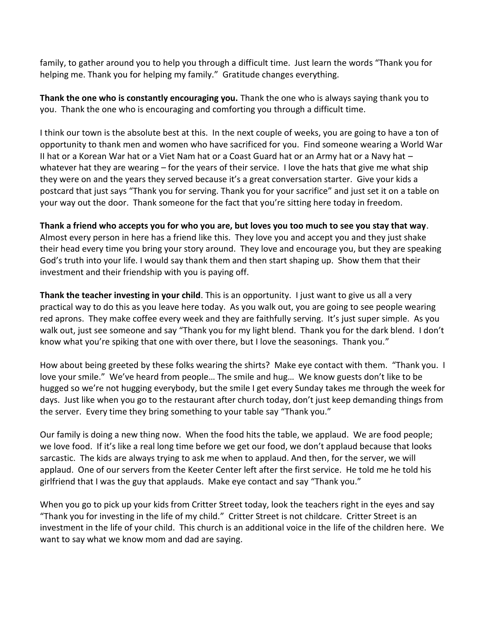family, to gather around you to help you through a difficult time. Just learn the words "Thank you for helping me. Thank you for helping my family." Gratitude changes everything.

**Thank the one who is constantly encouraging you.** Thank the one who is always saying thank you to you. Thank the one who is encouraging and comforting you through a difficult time.

I think our town is the absolute best at this. In the next couple of weeks, you are going to have a ton of opportunity to thank men and women who have sacrificed for you. Find someone wearing a World War II hat or a Korean War hat or a Viet Nam hat or a Coast Guard hat or an Army hat or a Navy hat – whatever hat they are wearing – for the years of their service. I love the hats that give me what ship they were on and the years they served because it's a great conversation starter. Give your kids a postcard that just says "Thank you for serving. Thank you for your sacrifice" and just set it on a table on your way out the door. Thank someone for the fact that you're sitting here today in freedom.

**Thank a friend who accepts you for who you are, but loves you too much to see you stay that way**. Almost every person in here has a friend like this. They love you and accept you and they just shake their head every time you bring your story around. They love and encourage you, but they are speaking God's truth into your life. I would say thank them and then start shaping up. Show them that their investment and their friendship with you is paying off.

**Thank the teacher investing in your child**. This is an opportunity. I just want to give us all a very practical way to do this as you leave here today. As you walk out, you are going to see people wearing red aprons. They make coffee every week and they are faithfully serving. It's just super simple. As you walk out, just see someone and say "Thank you for my light blend. Thank you for the dark blend. I don't know what you're spiking that one with over there, but I love the seasonings. Thank you."

How about being greeted by these folks wearing the shirts? Make eye contact with them. "Thank you. I love your smile." We've heard from people… The smile and hug… We know guests don't like to be hugged so we're not hugging everybody, but the smile I get every Sunday takes me through the week for days. Just like when you go to the restaurant after church today, don't just keep demanding things from the server. Every time they bring something to your table say "Thank you."

Our family is doing a new thing now. When the food hits the table, we applaud. We are food people; we love food. If it's like a real long time before we get our food, we don't applaud because that looks sarcastic. The kids are always trying to ask me when to applaud. And then, for the server, we will applaud. One of our servers from the Keeter Center left after the first service. He told me he told his girlfriend that I was the guy that applauds. Make eye contact and say "Thank you."

When you go to pick up your kids from Critter Street today, look the teachers right in the eyes and say "Thank you for investing in the life of my child." Critter Street is not childcare. Critter Street is an investment in the life of your child. This church is an additional voice in the life of the children here. We want to say what we know mom and dad are saying.